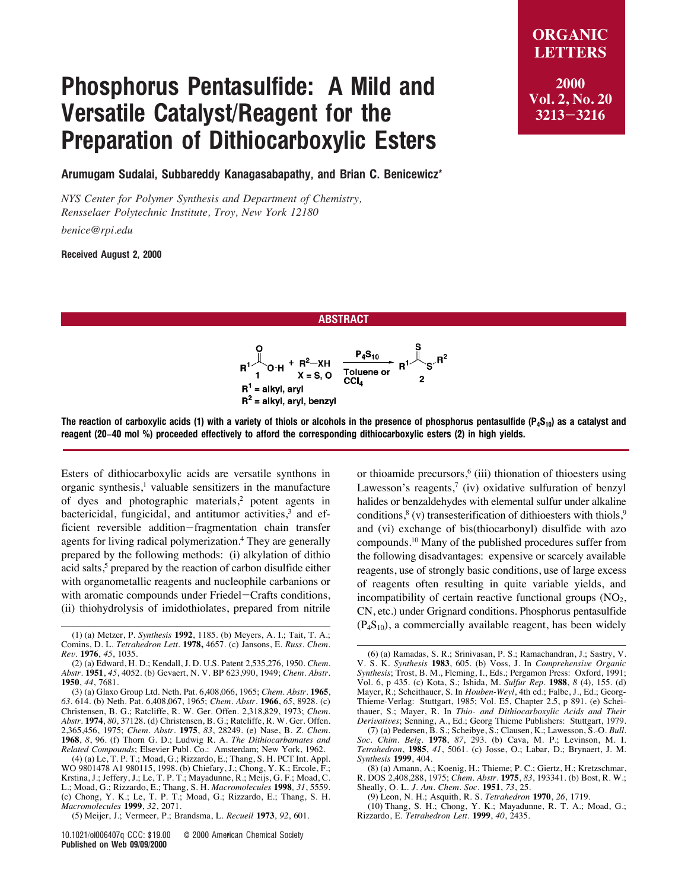## Phosphorus Pentasulfide: A Mild and Versatile Catalyst/Reagent for the Preparation of Dithiocarboxylic Esters

**LETTERS 2000 Vol. 2, No. 20 3213**-**3216**

**ORGANIC**

Arumugam Sudalai, Subbareddy Kanagasabapathy, and Brian C. Benicewicz\*

*NYS Center for Polymer Synthesis and Department of Chemistry, Rensselaer Polytechnic Institute, Troy, New York 12180*

*benice@rpi.edu*

Received August 2, 2000

## ABSTRACT



The reaction of carboxylic acids (1) with a variety of thiols or alcohols in the presence of phosphorus pentasulfide ( $P_4S_{10}$ ) as a catalyst and reagent (20−40 mol %) proceeded effectively to afford the corresponding dithiocarboxylic esters (2) in high yields.

Esters of dithiocarboxylic acids are versatile synthons in organic synthesis, $<sup>1</sup>$  valuable sensitizers in the manufacture</sup> of dyes and photographic materials,<sup>2</sup> potent agents in bactericidal, fungicidal, and antitumor activities, $3$  and efficient reversible addition-fragmentation chain transfer agents for living radical polymerization.<sup>4</sup> They are generally prepared by the following methods: (i) alkylation of dithio acid salts,<sup>5</sup> prepared by the reaction of carbon disulfide either with organometallic reagents and nucleophile carbanions or with aromatic compounds under Friedel-Crafts conditions, (ii) thiohydrolysis of imidothiolates, prepared from nitrile

or thioamide precursors, $6$  (iii) thionation of thioesters using Lawesson's reagents, $7$  (iv) oxidative sulfuration of benzyl halides or benzaldehydes with elemental sulfur under alkaline conditions,  $8$  (v) transesterification of dithioesters with thiols,  $9$ and (vi) exchange of bis(thiocarbonyl) disulfide with azo compounds.10 Many of the published procedures suffer from the following disadvantages: expensive or scarcely available reagents, use of strongly basic conditions, use of large excess of reagents often resulting in quite variable yields, and incompatibility of certain reactive functional groups  $(NO<sub>2</sub>$ , CN, etc.) under Grignard conditions. Phosphorus pentasulfide  $(P_4S_{10})$ , a commercially available reagent, has been widely

(10) Thang, S. H.; Chong, Y. K.; Mayadunne, R. T. A.; Moad, G.; Rizzardo, E. *Tetrahedron Lett*. **1999**, *40*, 2435.

<sup>(1) (</sup>a) Metzer, P*. Synthesis* **1992**, 1185. (b) Meyers, A. I.; Tait, T. A.; Comins, D. L. *Tetrahedron Lett.* **1978,** 4657. (c) Jansons, E. *Russ. Chem. Re*V*.* **1976**, *45*, 1035.

<sup>(2) (</sup>a) Edward, H. D.; Kendall, J. D. U.S. Patent 2,535,276, 1950. *Chem. Abstr.* **1951**, *45*, 4052. (b) Gevaert, N. V. BP 623,990, 1949; *Chem. Abstr.* **1950**, *44*, 7681.

<sup>(3) (</sup>a) Glaxo Group Ltd. Neth. Pat. 6,408,066, 1965; *Chem. Abstr.* **1965**, *63*. 614. (b) Neth. Pat. 6,408,067, 1965; *Chem. Abstr.* **1966**, *65*, 8928. (c) Christensen, B. G.; Ratcliffe, R. W. Ger. Offen*.* 2,318,829, 1973; *Chem. Abstr.* **1974**, *80*, 37128. (d) Christensen, B. G.; Ratcliffe, R. W. Ger*.* Offen*.* 2,365,456, 1975; *Chem. Abstr.* **1975**, *83*, 28249. (e) Nase, B. *Z. Chem*. **1968**, *8*, 96. (f) Thorn G. D.; Ludwig R. A. *The Dithiocarbamates and Related Compounds*; Elsevier Publ. Co.: Amsterdam; New York, 1962.

<sup>(4) (</sup>a) Le, T. P. T.; Moad, G.; Rizzardo, E.; Thang, S. H. PCT Int. Appl. WO 9801478 A1 980115, 1998. (b) Chiefary, J.; Chong, Y. K.; Ercole, F.; Krstina, J.; Jeffery, J.; Le, T. P. T.; Mayadunne, R.; Meijs, G. F.; Moad, C. L.; Moad, G.; Rizzardo, E.; Thang, S. H. *Macromolecules* **1998***, 31*, 5559. **(**c) Chong, Y. K.; Le, T. P. T.; Moad, G.; Rizzardo, E.; Thang, S. H. *Macromolecules* **1999**, *32*, 2071.

<sup>(5)</sup> Meijer, J.; Vermeer, P.; Brandsma, L. *Recueil* **1973**, *92*, 601.

<sup>10</sup>.1021/ol006407q CCC: \$19.00 © 2000 American Chemical Society Published on Web 09/09/2000

<sup>(6) (</sup>a) Ramadas, S. R.; Srinivasan, P. S.; Ramachandran, J.; Sastry, V. V. S. K. *Synthesis* 1983, 605. (b) Voss, J. In *Comprehensive Organic Synthesis*; Trost, B. M., Fleming, I., Eds.; Pergamon Press: Oxford, 1991; Vol. 6, p 435. (c) Kota, S.; Ishida, M. *Sulfur Rep.* **1988**, *8* (4), 155. (d) Mayer, R.; Scheithauer, S. In *Houben-Weyl*, 4th ed.; Falbe, J., Ed.; Georg-Thieme-Verlag: Stuttgart, 1985; Vol. E5, Chapter 2.5, p 891. (e) Scheithauer, S.; Mayer, R*.* In *Thio- and Dithiocarboxylic Acids and Their Deri*V*ati*V*es*; Senning, A., Ed.; Georg Thieme Publishers: Stuttgart, 1979.

<sup>(7) (</sup>a) Pedersen, B. S.; Scheibye, S.; Clausen, K.; Lawesson, S.-O. *Bull. Soc. Chim. Belg*. **1978**, *87*, 293. (b) Cava, M. P.; Levinson, M. I. *Tetrahedron*, **1985**, *41*, 5061. (c) Josse, O.; Labar, D.; Brynaert, J. M. *Synthesis* **1999**, 404.

<sup>(8) (</sup>a) Amann, A.; Koenig, H.; Thieme; P. C.; Giertz, H.; Kretzschmar, R. DOS 2,408,288, 1975; *Chem. Abstr.* **1975**, *83*, 193341. (b) Bost, R. W.; Sheally, O. L. *J. Am. Chem. Soc*. **1951**, *73*, 25.

<sup>(9)</sup> Leon, N. H.; Asquith, R. S. *Tetrahedron* **1970**, *26*, 1719.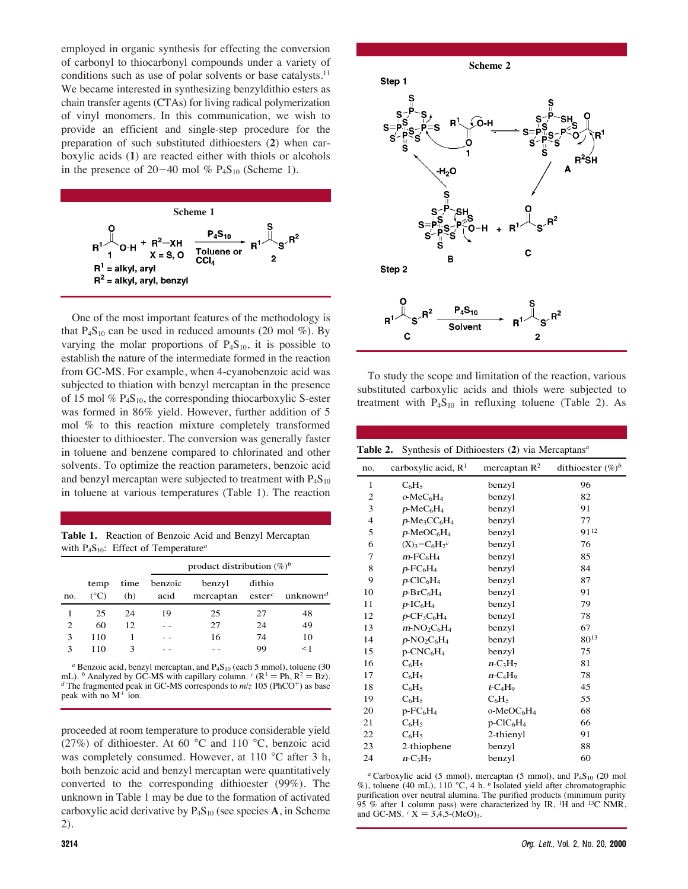employed in organic synthesis for effecting the conversion of carbonyl to thiocarbonyl compounds under a variety of conditions such as use of polar solvents or base catalysts.<sup>11</sup> We became interested in synthesizing benzyldithio esters as chain transfer agents (CTAs) for living radical polymerization of vinyl monomers. In this communication, we wish to provide an efficient and single-step procedure for the preparation of such substituted dithioesters (**2**) when carboxylic acids (**1**) are reacted either with thiols or alcohols in the presence of  $20-40$  mol %  $P_4S_{10}$  (Scheme 1).



One of the most important features of the methodology is that  $P_4S_{10}$  can be used in reduced amounts (20 mol %). By varying the molar proportions of  $P_4S_{10}$ , it is possible to establish the nature of the intermediate formed in the reaction from GC-MS. For example, when 4-cyanobenzoic acid was subjected to thiation with benzyl mercaptan in the presence of 15 mol  $\%$  P<sub>4</sub>S<sub>10</sub>, the corresponding thiocarboxylic S-ester was formed in 86% yield. However, further addition of 5 mol % to this reaction mixture completely transformed thioester to dithioester. The conversion was generally faster in toluene and benzene compared to chlorinated and other solvents. To optimize the reaction parameters, benzoic acid and benzyl mercaptan were subjected to treatment with  $P_4S_{10}$ in toluene at various temperatures (Table 1). The reaction

**Table 1.** Reaction of Benzoic Acid and Benzyl Mercaptan with P4S10: Effect of Temperature*<sup>a</sup>*

|                |                       |             | product distribution $(\%)^b$ |                                                             |        |          |
|----------------|-----------------------|-------------|-------------------------------|-------------------------------------------------------------|--------|----------|
| no.            | temp<br>$(^{\circ}C)$ | time<br>(h) | benzoic<br>acid               | benzyl<br>mercaptan ester <sup>c</sup> unknown <sup>d</sup> | dithio |          |
|                | 25                    | 24          | 19                            | 25                                                          | 27     | 48       |
| $\overline{c}$ | 60                    | 12          |                               | 27                                                          | 24     | 49       |
| 3              | 110                   |             |                               | 16                                                          | 74     | 10       |
| 3              | 110                   |             |                               |                                                             | 99     | $\leq$ 1 |

<sup>*a*</sup> Benzoic acid, benzyl mercaptan, and P<sub>4S10</sub> (each 5 mmol), toluene (30 mL). *b* Analyzed by GC-MS with capillary column. *c* ( $R^1 = Ph, R^2 = Bz$ ).  $d$  The fragmented peak in GC-MS corresponds to  $m/z$  105 (PhCO<sup>+</sup>) as base peak with no M<sup>+</sup> ion.

proceeded at room temperature to produce considerable yield (27%) of dithioester. At 60 °C and 110 °C, benzoic acid was completely consumed. However, at 110 °C after 3 h, both benzoic acid and benzyl mercaptan were quantitatively converted to the corresponding dithioester (99%). The unknown in Table 1 may be due to the formation of activated carboxylic acid derivative by  $P_4S_{10}$  (see species A, in Scheme 2).



To study the scope and limitation of the reaction, various substituted carboxylic acids and thiols were subjected to treatment with  $P_4S_{10}$  in refluxing toluene (Table 2). As

**Table 2.** Synthesis of Dithioesters (**2**) via Mercaptans*<sup>a</sup>*

| no.            | carboxylic acid, R <sup>1</sup>                    | mercaptan $R^2$                      | dithioester $(\%)^b$ |
|----------------|----------------------------------------------------|--------------------------------------|----------------------|
| 1              | $C_6H_5$                                           | benzyl                               | 96                   |
| $\overline{c}$ | $o$ -Me $C_6H_4$                                   | benzyl                               | 82                   |
| 3              | $p$ -MeC <sub>6</sub> H <sub>4</sub>               | benzyl                               | 91                   |
| $\overline{4}$ | p-Me <sub>3</sub> CC <sub>6</sub> H <sub>4</sub>   | benzyl                               | 77                   |
| 5              | $p$ -MeOC <sub>6</sub> H <sub>4</sub>              | benzyl                               | 9112                 |
| 6              | $(X)3-C6H2c$                                       | benzyl                               | 76                   |
| 7              | $m$ - $FC_6H_4$                                    | benzyl                               | 85                   |
| 8              | $p$ -FC <sub>6</sub> H <sub>4</sub>                | benzyl                               | 84                   |
| 9              | $p$ -ClC <sub>6</sub> H <sub>4</sub>               | benzyl                               | 87                   |
| 10             | $p$ -Br $C_6H_4$                                   | benzyl                               | 91                   |
| 11             | $p$ -IC <sub>6</sub> H <sub>4</sub>                | benzyl                               | 79                   |
| 12             | $p$ -CF <sub>3</sub> C <sub>6</sub> H <sub>4</sub> | benzyl                               | 78                   |
| 13             | $m$ -NO <sub>2</sub> C <sub>6</sub> H <sub>4</sub> | benzyl                               | 67                   |
| 14             | $p$ -NO <sub>2</sub> C <sub>6</sub> H <sub>4</sub> | benzyl                               | $80^{13}$            |
| 15             | $p$ -CNC $_6$ H <sub>4</sub>                       | benzyl                               | 75                   |
| 16             | $C_6H_5$                                           | $n-C3H7$                             | 81                   |
| 17             | $C_6H_5$                                           | $n - C_4H_9$                         | 78                   |
| 18             | $C_6H_5$                                           | $t$ -C <sub>4</sub> H <sub>9</sub>   | 45                   |
| 19             | $C_6H_5$                                           | $C_6H_5$                             | 55                   |
| 20             | $p$ - $FC6H4$                                      | $o-MeOC6H4$                          | 68                   |
| 21             | $C_6H_5$                                           | $p$ -ClC <sub>6</sub> H <sub>4</sub> | 66                   |
| 22             | $C_6H_5$                                           | 2-thienyl                            | 91                   |
| 23             | 2-thiophene                                        | benzyl                               | 88                   |
| 24             | $n-C3H7$                                           | benzyl                               | 60                   |

<sup>a</sup> Carboxylic acid (5 mmol), mercaptan (5 mmol), and P<sub>4</sub>S<sub>10</sub> (20 mol %), toluene (40 mL), 110 °C, 4 h. *<sup>b</sup>* Isolated yield after chromatographic purification over neutral alumina. The purified products (minimum purity 95 % after 1 column pass) were characterized by IR, 1H and 13C NMR, and GC-MS.  $c X = 3,4,5-(\text{MeO})_3$ .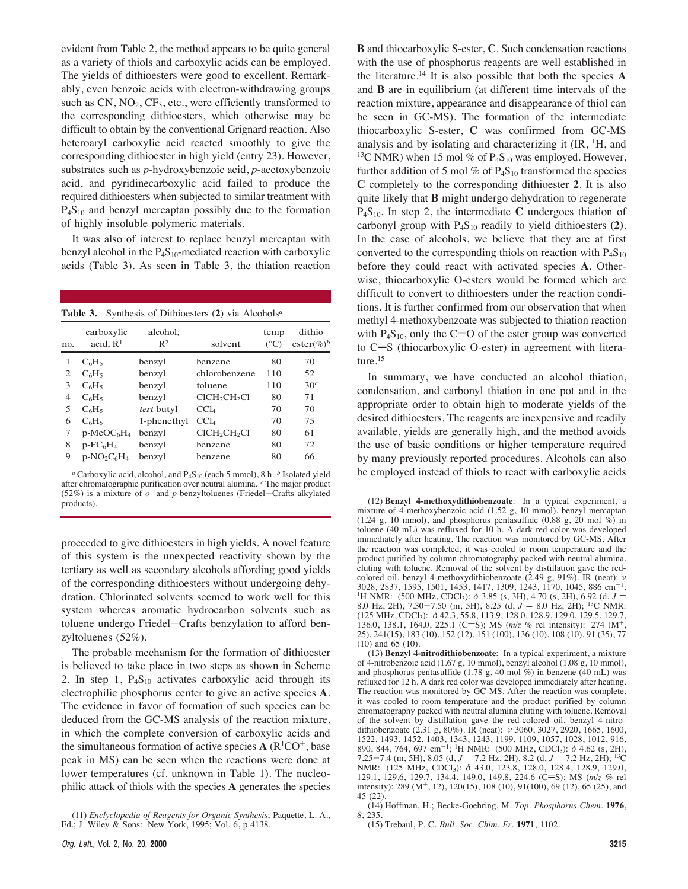evident from Table 2, the method appears to be quite general as a variety of thiols and carboxylic acids can be employed. The yields of dithioesters were good to excellent. Remarkably, even benzoic acids with electron-withdrawing groups such as  $CN$ ,  $NO<sub>2</sub>$ ,  $CF<sub>3</sub>$ , etc., were efficiently transformed to the corresponding dithioesters, which otherwise may be difficult to obtain by the conventional Grignard reaction. Also heteroaryl carboxylic acid reacted smoothly to give the corresponding dithioester in high yield (entry 23). However, substrates such as *p*-hydroxybenzoic acid, *p*-acetoxybenzoic acid, and pyridinecarboxylic acid failed to produce the required dithioesters when subjected to similar treatment with  $P_4S_{10}$  and benzyl mercaptan possibly due to the formation of highly insoluble polymeric materials.

It was also of interest to replace benzyl mercaptan with benzyl alcohol in the  $P_4S_{10}$ -mediated reaction with carboxylic acids (Table 3). As seen in Table 3, the thiation reaction

## **Table 3.** Synthesis of Dithioesters (**2**) via Alcohols*<sup>a</sup>*

| no.            | carboxylic<br>acid, $R1$ | alcohol,<br>$R^2$ | solvent                              | temp<br>$(^{\circ}C)$ | dithio<br>$\text{ester}(\%)^b$ |
|----------------|--------------------------|-------------------|--------------------------------------|-----------------------|--------------------------------|
|                | $C_6H_5$                 | benzyl            | benzene                              | 80                    | 70                             |
| $\overline{2}$ | $C_6H_5$                 | benzyl            | chlorobenzene                        | 110                   | 52                             |
| 3              | $C_6H_5$                 | benzyl            | toluene                              | 110                   | 30 <sup>c</sup>                |
| $\overline{4}$ | $C_6H_5$                 | benzyl            | $CICH_2CH_2Cl$                       | 80                    | 71                             |
| 5              | $C_6H_5$                 | tert-butyl        | CCl <sub>4</sub>                     | 70                    | 70                             |
| 6              | $C_6H_5$                 | 1-phenethyl       | CCl <sub>4</sub>                     | 70                    | 75                             |
| 7              | $p-MeOC6H4$              | benzyl            | ClCH <sub>2</sub> CH <sub>2</sub> Cl | 80                    | 61                             |
| 8              | $p$ - $FC_6H_4$          | benzyl            | benzene                              | 80                    | 72                             |
| 9              | $p-NO_2C_6H_4$           | benzyl            | benzene                              | 80                    | 66                             |

*<sup>a</sup>* Carboxylic acid, alcohol, and P4S10 (each 5 mmol), 8 h. *<sup>b</sup>* Isolated yield after chromatographic purification over neutral alumina. *<sup>c</sup>* The major product (52%) is a mixture of *o*- and *p*-benzyltoluenes (Friedel-Crafts alkylated products).

proceeded to give dithioesters in high yields. A novel feature of this system is the unexpected reactivity shown by the tertiary as well as secondary alcohols affording good yields of the corresponding dithioesters without undergoing dehydration. Chlorinated solvents seemed to work well for this system whereas aromatic hydrocarbon solvents such as toluene undergo Friedel-Crafts benzylation to afford benzyltoluenes (52%).

The probable mechanism for the formation of dithioester is believed to take place in two steps as shown in Scheme 2. In step 1,  $P_4S_{10}$  activates carboxylic acid through its electrophilic phosphorus center to give an active species **A**. The evidence in favor of formation of such species can be deduced from the GC-MS analysis of the reaction mixture, in which the complete conversion of carboxylic acids and the simultaneous formation of active species  $A(R^1CO^+)$ , base peak in MS) can be seen when the reactions were done at lower temperatures (cf. unknown in Table 1). The nucleophilic attack of thiols with the species **A** generates the species

**B** and thiocarboxylic S-ester, **C**. Such condensation reactions with the use of phosphorus reagents are well established in the literature.14 It is also possible that both the species **A** and **B** are in equilibrium (at different time intervals of the reaction mixture, appearance and disappearance of thiol can be seen in GC-MS). The formation of the intermediate thiocarboxylic S-ester, **C** was confirmed from GC-MS analysis and by isolating and characterizing it  $(IR, <sup>1</sup>H, and$ <sup>13</sup>C NMR) when 15 mol % of  $P_4S_{10}$  was employed. However, further addition of 5 mol % of  $P_4S_{10}$  transformed the species **C** completely to the corresponding dithioester **2**. It is also quite likely that **B** might undergo dehydration to regenerate P4S10. In step 2, the intermediate **C** undergoes thiation of carbonyl group with  $P_4S_{10}$  readily to yield dithioesters  $(2)$ . In the case of alcohols, we believe that they are at first converted to the corresponding thiols on reaction with  $P_4S_{10}$ before they could react with activated species **A**. Otherwise, thiocarboxylic O-esters would be formed which are difficult to convert to dithioesters under the reaction conditions. It is further confirmed from our observation that when methyl 4-methoxybenzoate was subjected to thiation reaction with  $P_4S_{10}$ , only the C=O of the ester group was converted to  $C=S$  (thiocarboxylic O-ester) in agreement with literature.<sup>15</sup>

In summary, we have conducted an alcohol thiation, condensation, and carbonyl thiation in one pot and in the appropriate order to obtain high to moderate yields of the desired dithioesters. The reagents are inexpensive and readily available, yields are generally high, and the method avoids the use of basic conditions or higher temperature required by many previously reported procedures. Alcohols can also be employed instead of thiols to react with carboxylic acids

<sup>(11)</sup> *Enclyclopedia of Reagents for Organic Synthesis*; Paquette, L. A., Ed.; J. Wiley & Sons: New York, 1995; Vol. 6, p 4138.

<sup>(12)</sup> **Benzyl 4-methoxydithiobenzoate**: In a typical experiment, a mixture of 4-methoxybenzoic acid (1.52 g, 10 mmol), benzyl mercaptan (1.24 g, 10 mmol), and phosphorus pentasulfide (0.88 g, 20 mol %) in toluene (40 mL) was refluxed for 10 h. A dark red color was developed immediately after heating. The reaction was monitored by GC-MS. After the reaction was completed, it was cooled to room temperature and the product purified by column chromatography packed with neutral alumina, eluting with toluene. Removal of the solvent by distillation gave the redcolored oil, benzyl 4-methoxydithiobenzoate (2.49 g, 91%). IR (neat): ν<br>3028, 2837, 1595, 1501, 1453, 1417, 1309, 1243, 1170, 1045, 886 cm<sup>-1</sup>; <sup>1</sup>H NMR: (500 MHz, CDCl<sub>3</sub>):  $\delta$  3.85 (s, 3H), 4.70 (s, 2H), 6.92 (d, *J* = 8.0 Hz, 2H), 7.30-7.50 (m, 5H), 8.25 (d,  $J = 8.0$  Hz, 2H); <sup>13</sup>C NMR: (125 MHz, CDCl3): δ 42.3, 55.8, 113.9, 128.0, 128.9, 129.0, 129.5, 129.7, 136.0, 138.1, 164.0, 225.1 (C=S); MS ( $m/z$  % rel intensity): 274 (M<sup>+</sup>, 25), 241(15), 183 (10), 152 (12), 151 (100), 136 (10), 108 (10), 91 (35), 77 (10) and 65 (10).

<sup>(13)</sup> **Benzyl 4-nitrodithiobenzoate**: In a typical experiment, a mixture of 4-nitrobenzoic acid (1.67 g, 10 mmol), benzyl alcohol (1.08 g, 10 mmol), and phosphorus pentasulfide (1.78 g, 40 mol  $\%$ ) in benzene (40 mL) was refluxed for 12 h. A dark red color was developed immediately after heating. The reaction was monitored by GC-MS. After the reaction was complete, it was cooled to room temperature and the product purified by column chromatography packed with neutral alumina eluting with toluene. Removal of the solvent by distillation gave the red-colored oil, benzyl 4-nitrodithiobenzoate (2.31 g, 80%). IR (neat): ν 3060, 3027, 2920, 1665, 1600, 1522, 1493, 1452, 1403, 1343, 1243, 1199, 1109, 1057, 1028, 1012, 916, 890, 844, 764, 697 cm<sup>-1</sup>; <sup>1</sup>H NMR: (500 MHz, CDCl<sub>3</sub>):  $\delta$  4.62 (s, 2H), 7.25-7.4 (m, 5H), 8.05 (d,  $J = 7.2$  Hz, 2H), 8.2 (d,  $J = 7.2$  Hz, 2H); <sup>13</sup>C NMR: (125 MHz, CDCl3): δ 43.0, 123.8, 128.0, 128.4, 128.9, 129.0, 129.1, 129.6, 129.7, 134.4, 149.0, 149.8, 224.6 (C=S); MS (m/z % rel intensity): 289 ( $M^+$ , 12), 120(15), 108 (10), 91(100), 69 (12), 65 (25), and 45 (22).

<sup>(14)</sup> Hoffman, H.; Becke-Goehring, M. *Top. Phosphorus Chem.* **1976**, *8*, 235.

<sup>(15)</sup> Trebaul, P. C. *Bull. Soc. Chim. Fr*. **1971**, 1102.